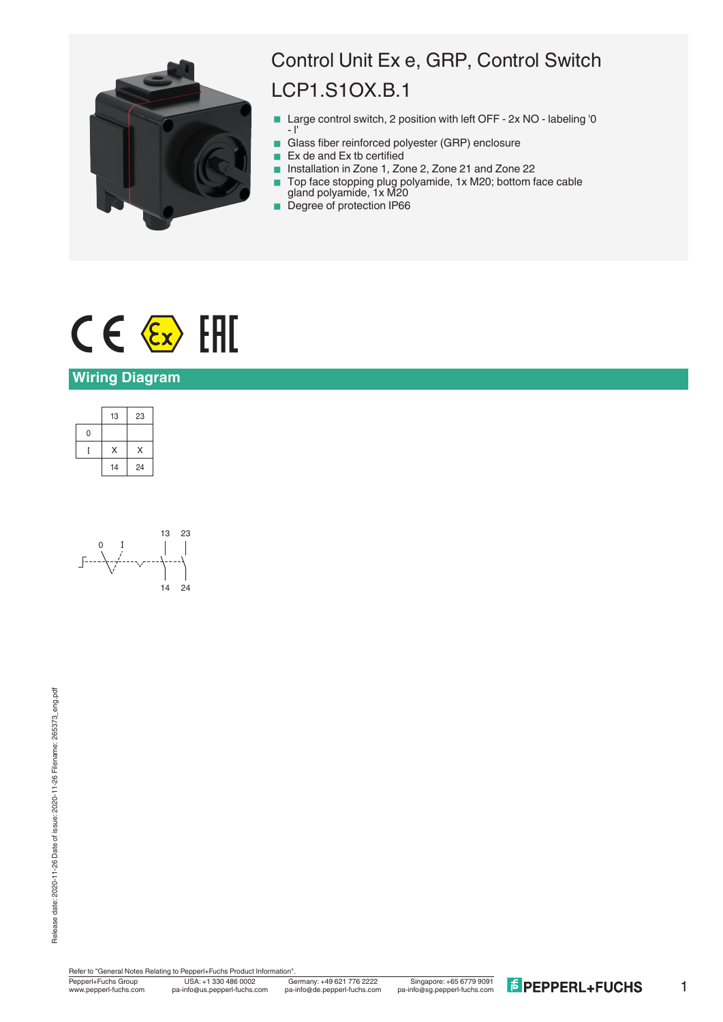

# Control Unit Ex e, GRP, Control Switch LCP1.S1OX.B.1

- Large control switch, 2 position with left OFF 2x NO labeling '0  $-1$
- Glass fiber reinforced polyester (GRP) enclosure
- $\blacksquare$  Ex de and Ex tb certified
- Installation in Zone 1, Zone 2, Zone 21 and Zone 22
- Top face stopping plug polyamide, 1x M20; bottom face cable gland polyamide, 1x M20
- Degree of protection IP66



## **Wiring Diagram**

|   | 13 | 23 |
|---|----|----|
| 0 |    |    |
|   | X  | X  |
|   | 14 | 24 |



Release date: 2020-11-26 Date of issue: 2020-11-26 Filename: 265373\_eng.pdf Release date: 2020-11-26 Date of issue: 2020-11-26 Filename: 265373\_eng.pdf

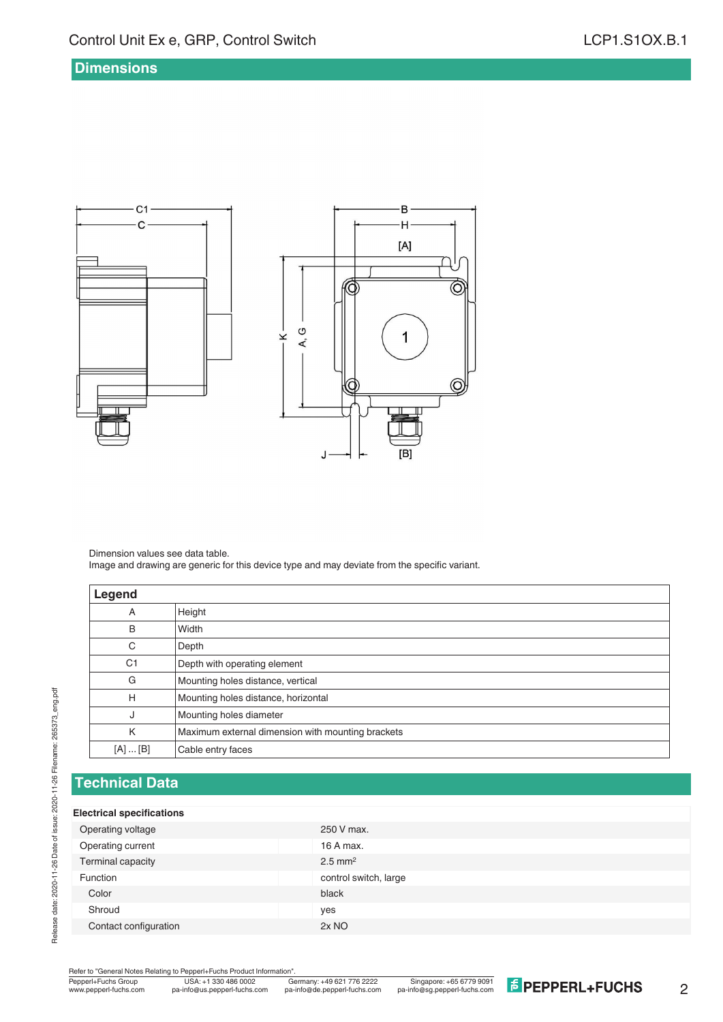#### **Dimensions**



Dimension values see data table. Image and drawing are generic for this device type and may deviate from the specific variant.

| Legend          |                                                   |
|-----------------|---------------------------------------------------|
| Α               | Height                                            |
| B               | Width                                             |
| C               | Depth                                             |
| C <sub>1</sub>  | Depth with operating element                      |
| G               | Mounting holes distance, vertical                 |
| Н               | Mounting holes distance, horizontal               |
| J               | Mounting holes diameter                           |
| K               | Maximum external dimension with mounting brackets |
| $[A] \dots [B]$ | Cable entry faces                                 |

### **Technical Data**

#### **Electrical specifications**

Release date: 2020-11-26 Date of issue: 2020-11-26 Filename: 265373\_eng.pdf

Release date: 2020-11-26 Date of issue: 2020-11-26 Filename: 265373\_eng.pdf

| Operating voltage     | 250 V max.            |
|-----------------------|-----------------------|
| Operating current     | 16 A max.             |
| Terminal capacity     | $2.5$ mm <sup>2</sup> |
| Function              | control switch, large |
| Color                 | black                 |
| Shroud                | yes                   |
| Contact configuration | 2x NO                 |
|                       |                       |

Refer to "General Notes Relating to Pepperl+Fuchs Product Information"<br>
Pepperl+Fuchs Group<br>
Www.pepperl-fuchs.com pa-info@us.pepperl-fuchs.com pa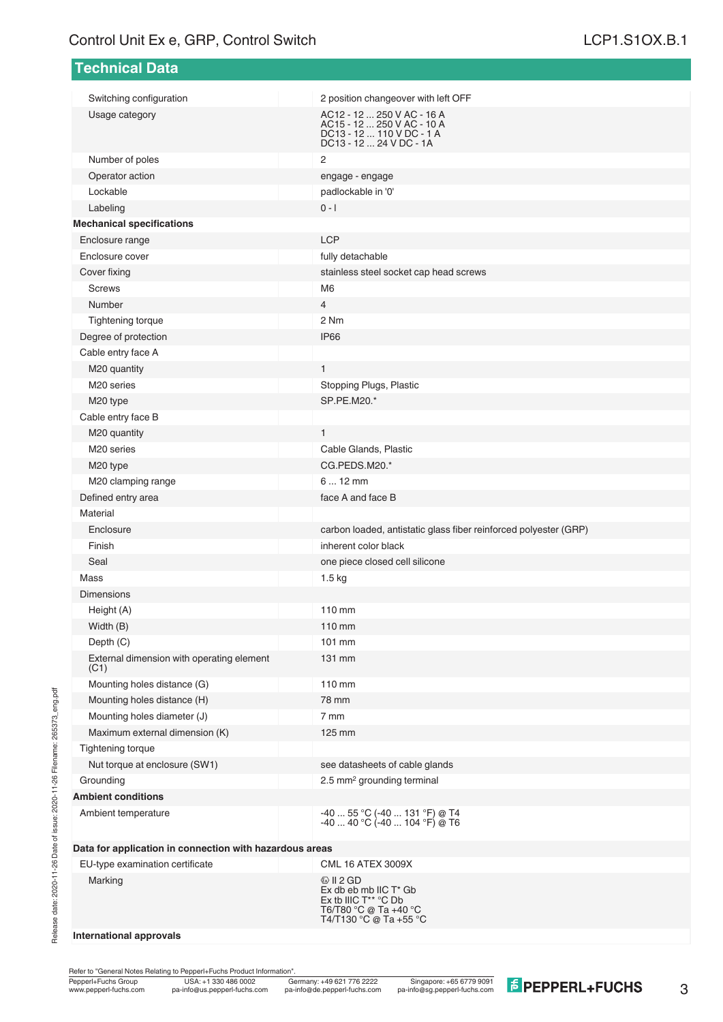| <b>Technical Data</b>                                   |                                                                                                                            |
|---------------------------------------------------------|----------------------------------------------------------------------------------------------------------------------------|
|                                                         |                                                                                                                            |
| Switching configuration<br>Usage category               | 2 position changeover with left OFF<br>AC12 - 12  250 V AC - 16 A                                                          |
|                                                         | AC15 - 12  250 V AC - 10 A<br>DC13 - 12  110 V DC - 1 A<br>DC13 - 12  24 V DC - 1A                                         |
| Number of poles                                         | 2                                                                                                                          |
| Operator action                                         | engage - engage                                                                                                            |
| Lockable                                                | padlockable in '0'                                                                                                         |
| Labeling                                                | $0 - 1$                                                                                                                    |
| <b>Mechanical specifications</b>                        |                                                                                                                            |
| Enclosure range                                         | <b>LCP</b>                                                                                                                 |
| Enclosure cover                                         | fully detachable                                                                                                           |
| Cover fixing                                            | stainless steel socket cap head screws                                                                                     |
| <b>Screws</b>                                           | M <sub>6</sub>                                                                                                             |
| Number                                                  | 4                                                                                                                          |
| Tightening torque                                       | 2 Nm                                                                                                                       |
| Degree of protection                                    | IP <sub>66</sub>                                                                                                           |
| Cable entry face A                                      |                                                                                                                            |
| M20 quantity                                            | $\mathbf{1}$                                                                                                               |
| M <sub>20</sub> series                                  | Stopping Plugs, Plastic                                                                                                    |
| M20 type                                                | SP.PE.M20.*                                                                                                                |
| Cable entry face B                                      |                                                                                                                            |
| M20 quantity                                            | $\mathbf{1}$                                                                                                               |
| M <sub>20</sub> series                                  | Cable Glands, Plastic                                                                                                      |
| M20 type                                                | CG.PEDS.M20.*                                                                                                              |
| M20 clamping range                                      | $612$ mm                                                                                                                   |
| Defined entry area                                      | face A and face B                                                                                                          |
| Material                                                |                                                                                                                            |
| Enclosure                                               | carbon loaded, antistatic glass fiber reinforced polyester (GRP)                                                           |
| Finish                                                  | inherent color black                                                                                                       |
| Seal                                                    | one piece closed cell silicone                                                                                             |
| Mass                                                    | 1.5 <sub>kg</sub>                                                                                                          |
| <b>Dimensions</b>                                       |                                                                                                                            |
| Height (A)                                              | 110 mm                                                                                                                     |
| Width (B)                                               | 110 mm                                                                                                                     |
| Depth (C)                                               | 101 mm                                                                                                                     |
| External dimension with operating element<br>(C1)       | 131 mm                                                                                                                     |
| Mounting holes distance (G)                             | 110 mm                                                                                                                     |
| Mounting holes distance (H)                             | 78 mm                                                                                                                      |
| Mounting holes diameter (J)                             | 7 mm                                                                                                                       |
| Maximum external dimension (K)                          | 125 mm                                                                                                                     |
| <b>Tightening torque</b>                                |                                                                                                                            |
| Nut torque at enclosure (SW1)                           | see datasheets of cable glands                                                                                             |
| Grounding                                               | 2.5 mm <sup>2</sup> grounding terminal                                                                                     |
| <b>Ambient conditions</b>                               |                                                                                                                            |
| Ambient temperature                                     | -40  55 °C (-40  131 °F) @ T4<br>$-40$ 40 °C ( $-40$ 104 °F) @ T6                                                          |
| Data for application in connection with hazardous areas |                                                                                                                            |
| EU-type examination certificate                         | <b>CML 16 ATEX 3009X</b>                                                                                                   |
| Marking                                                 | $\circledcirc$ II 2 GD<br>Ex db eb mb IIC T* Gb<br>Ex tb IIIC T** °C Db<br>T6/T80 °C @ Ta +40 °C<br>T4/T130 °C @ Ta +55 °C |

#### **International approvals**

Refer to "General Notes Relating to Pepperl+Fuchs Product Information".

Release date: 2020-11-26 Date of issue: 2020-11-26 Filename: 265373\_eng.pdf

Release date: 2020-11-26 Date of issue: 2020-11-26 Filename: 265373\_eng.pdf